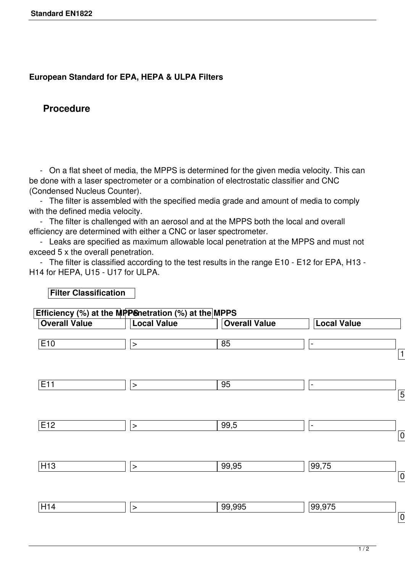## **European Standard for EPA, HEPA & ULPA Filters**

## **Procedure**

**Filter Classification**

 - On a flat sheet of media, the MPPS is determined for the given media velocity. This can be done with a laser spectrometer or a combination of electrostatic classifier and CNC (Condensed Nucleus Counter).

 - The filter is assembled with the specified media grade and amount of media to comply with the defined media velocity.

 - The filter is challenged with an aerosol and at the MPPS both the local and overall efficiency are determined with either a CNC or laser spectrometer.

 - Leaks are specified as maximum allowable local penetration at the MPPS and must not exceed 5 x the overall penetration.

 - The filter is classified according to the test results in the range E10 - E12 for EPA, H13 - H14 for HEPA, U15 - U17 for ULPA.

| <b>Overall Value</b> | <b>Local Value</b> | <b>Overall Value</b> | <b>Local Value</b>           |  |
|----------------------|--------------------|----------------------|------------------------------|--|
| E10                  | $\,>$              | 85                   | $\qquad \qquad \blacksquare$ |  |
| E11                  | $\,>$              | 95                   | $\overline{\phantom{a}}$     |  |
| E12                  | $\,>$              | 99,5                 | $\blacksquare$               |  |
| H13                  | $\,>$              | 99,95                | 99,75                        |  |
| H14                  | $\,>$              | 99,995               | 99,975                       |  |